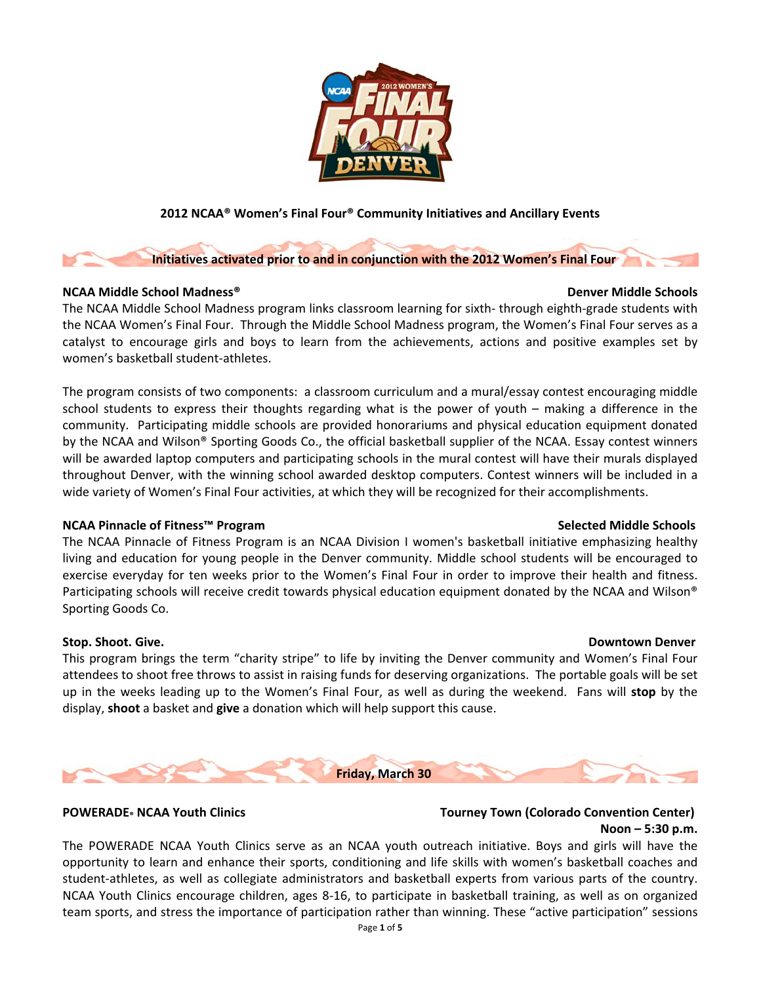

### **2012 NCAA® Women's Final Four® Community Initiatives and Ancillary Events**

### **Initiatives activated prior to and in conjunction with the 2012 Women's Final Four**

### **NCAA Middle School Madness® Denver Middle Schools**

The NCAA Middle School Madness program links classroom learning for sixth‐ through eighth‐grade students with the NCAA Women's Final Four. Through the Middle School Madness program, the Women's Final Four serves as a catalyst to encourage girls and boys to learn from the achievements, actions and positive examples set by women's basketball student‐athletes.

The program consists of two components: a classroom curriculum and a mural/essay contest encouraging middle school students to express their thoughts regarding what is the power of youth – making a difference in the community. Participating middle schools are provided honorariums and physical education equipment donated by the NCAA and Wilson® Sporting Goods Co., the official basketball supplier of the NCAA. Essay contest winners will be awarded laptop computers and participating schools in the mural contest will have their murals displayed throughout Denver, with the winning school awarded desktop computers. Contest winners will be included in a wide variety of Women's Final Four activities, at which they will be recognized for their accomplishments.

### **NCAA Pinnacle of Fitness™ Program Selected Middle Schools**

The NCAA Pinnacle of Fitness Program is an NCAA Division I women's basketball initiative emphasizing healthy living and education for young people in the Denver community. Middle school students will be encouraged to exercise everyday for ten weeks prior to the Women's Final Four in order to improve their health and fitness. Participating schools will receive credit towards physical education equipment donated by the NCAA and Wilson® Sporting Goods Co.

This program brings the term "charity stripe" to life by inviting the Denver community and Women's Final Four attendees to shoot free throws to assist in raising funds for deserving organizations. The portable goals will be set up in the weeks leading up to the Women's Final Four, as well as during the weekend. Fans will **stop** by the display, **shoot** a basket and **give** a donation which will help support this cause.

**Friday, March 30**

### **POWERADE® NCAA Youth Clinics Tourney Town (Colorado Convention Center) Noon – 5:30 p.m.**

The POWERADE NCAA Youth Clinics serve as an NCAA youth outreach initiative. Boys and girls will have the opportunity to learn and enhance their sports, conditioning and life skills with women's basketball coaches and student‐athletes, as well as collegiate administrators and basketball experts from various parts of the country. NCAA Youth Clinics encourage children, ages 8‐16, to participate in basketball training, as well as on organized team sports, and stress the importance of participation rather than winning. These "active participation" sessions

### **Stop. Shoot. Give. Downtown Denver**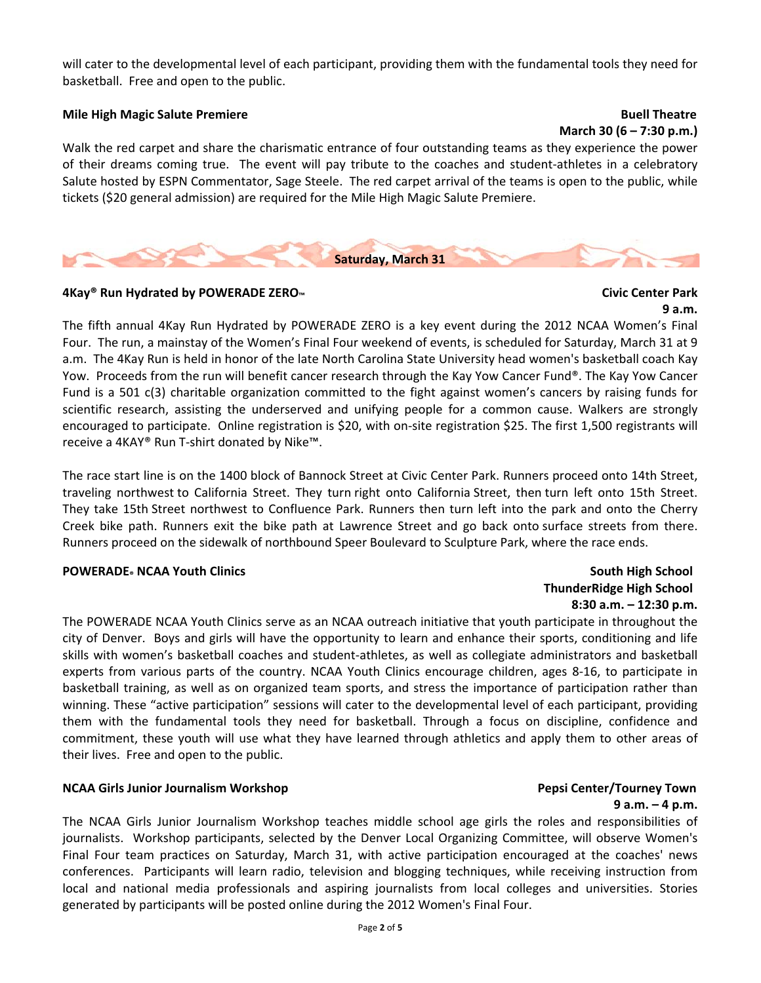will cater to the developmental level of each participant, providing them with the fundamental tools they need for basketball. Free and open to the public.

### **Mile High Magic Salute Premiere Buell Theatre**

**March 30 (6 – 7:30 p.m.)**

Walk the red carpet and share the charismatic entrance of four outstanding teams as they experience the power of their dreams coming true. The event will pay tribute to the coaches and student‐athletes in a celebratory Salute hosted by ESPN Commentator, Sage Steele. The red carpet arrival of the teams is open to the public, while tickets (\$20 general admission) are required for the Mile High Magic Salute Premiere.



### **4Kay® Run Hydrated by POWERADE ZERO™ Civic Center Park**

## **9 a.m.**

The fifth annual 4Kay Run Hydrated by POWERADE ZERO is a key event during the 2012 NCAA Women's Final Four. The run, a mainstay of the Women's Final Four weekend of events, is scheduled for Saturday, March 31 at 9 a.m. The 4Kay Run is held in honor of the late North Carolina State University head women's basketball coach Kay Yow. Proceeds from the run will benefit cancer research through the Kay Yow Cancer Fund®. The Kay Yow Cancer Fund is a 501 c(3) charitable organization committed to the fight against women's cancers by raising funds for scientific research, assisting the underserved and unifying people for a common cause. Walkers are strongly encouraged to participate. Online registration is \$20, with on‐site registration \$25. The first 1,500 registrants will receive a 4KAY® Run T‐shirt donated by Nike™.

The race start line is on the 1400 block of Bannock Street at Civic Center Park. Runners proceed onto 14th Street, traveling northwest to California Street. They turn right onto California Street, then turn left onto 15th Street. They take 15th Street northwest to Confluence Park. Runners then turn left into the park and onto the Cherry Creek bike path. Runners exit the bike path at Lawrence Street and go back onto surface streets from there. Runners proceed on the sidewalk of northbound Speer Boulevard to Sculpture Park, where the race ends.

### **POWERADE® NCAA Youth Clinics South High School**

## **ThunderRidge High School 8:30 a.m. – 12:30 p.m.**

The POWERADE NCAA Youth Clinics serve as an NCAA outreach initiative that youth participate in throughout the city of Denver. Boys and girls will have the opportunity to learn and enhance their sports, conditioning and life skills with women's basketball coaches and student‐athletes, as well as collegiate administrators and basketball experts from various parts of the country. NCAA Youth Clinics encourage children, ages 8‐16, to participate in basketball training, as well as on organized team sports, and stress the importance of participation rather than winning. These "active participation" sessions will cater to the developmental level of each participant, providing them with the fundamental tools they need for basketball. Through a focus on discipline, confidence and commitment, these youth will use what they have learned through athletics and apply them to other areas of their lives. Free and open to the public.

### **NCAA Girls Junior Journalism Workshop Pepsi Center/Tourney Town**

**9 a.m. – 4 p.m.** The NCAA Girls Junior Journalism Workshop teaches middle school age girls the roles and responsibilities of journalists. Workshop participants, selected by the Denver Local Organizing Committee, will observe Women's Final Four team practices on Saturday, March 31, with active participation encouraged at the coaches' news conferences. Participants will learn radio, television and blogging techniques, while receiving instruction from local and national media professionals and aspiring journalists from local colleges and universities. Stories generated by participants will be posted online during the 2012 Women's Final Four.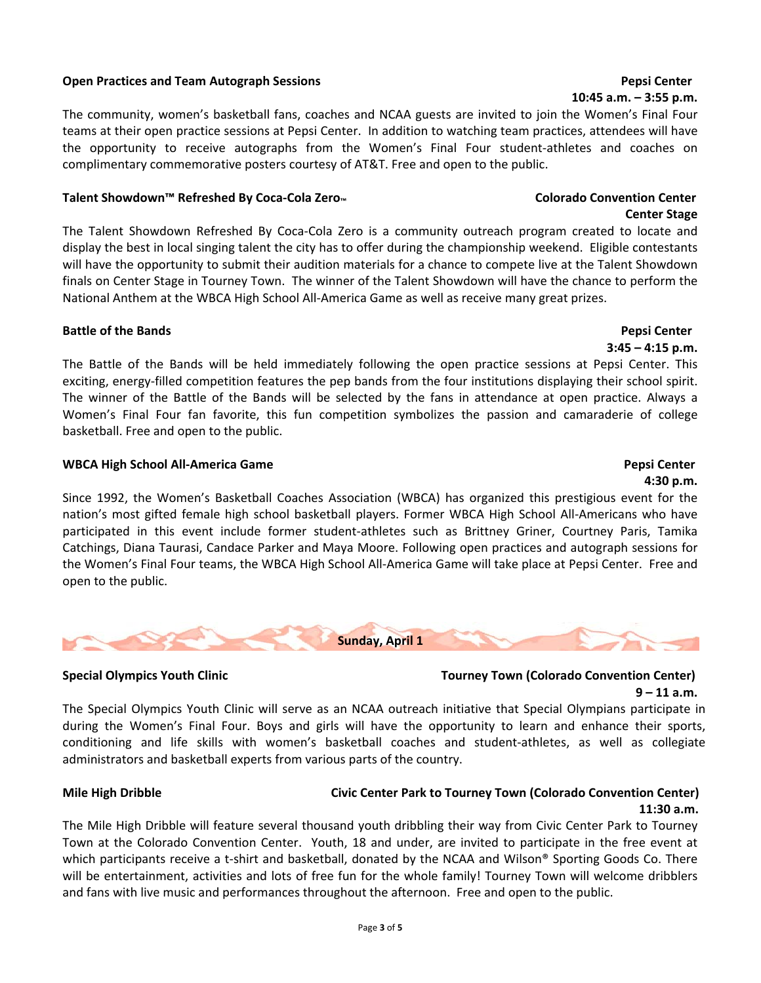### **Open Practices and Team Autograph Sessions Pepsi Center**

The community, women's basketball fans, coaches and NCAA guests are invited to join the Women's Final Four teams at their open practice sessions at Pepsi Center. In addition to watching team practices, attendees will have the opportunity to receive autographs from the Women's Final Four student‐athletes and coaches on complimentary commemorative posters courtesy of AT&T. Free and open to the public.

### Talent Showdown™ Refreshed By Coca-Cola Zero<sub>™</sub> and the Colorado Convention Center

The Talent Showdown Refreshed By Coca‐Cola Zero is a community outreach program created to locate and display the best in local singing talent the city has to offer during the championship weekend. Eligible contestants will have the opportunity to submit their audition materials for a chance to compete live at the Talent Showdown finals on Center Stage in Tourney Town. The winner of the Talent Showdown will have the chance to perform the National Anthem at the WBCA High School All‐America Game as well as receive many great prizes.

### **Battle of the Bands Pepsi Center**

The Battle of the Bands will be held immediately following the open practice sessions at Pepsi Center. This exciting, energy-filled competition features the pep bands from the four institutions displaying their school spirit. The winner of the Battle of the Bands will be selected by the fans in attendance at open practice. Always a Women's Final Four fan favorite, this fun competition symbolizes the passion and camaraderie of college basketball. Free and open to the public.

### **WBCA High School All‐America Game****Pepsi Center**

**4:30 p.m.** Since 1992, the Women's Basketball Coaches Association (WBCA) has organized this prestigious event for the nation's most gifted female high school basketball players. Former WBCA High School All‐Americans who have participated in this event include former student‐athletes such as Brittney Griner, Courtney Paris, Tamika Catchings, Diana Taurasi, Candace Parker and Maya Moore. Following open practices and autograph sessions for the Women's Final Four teams, the WBCA High School All‐America Game will take place at Pepsi Center. Free and open to the public.



### **Special Olympics Youth Clinic Tourney Town (Colorado Convention Center) 9 – 11 a.m.**

The Special Olympics Youth Clinic will serve as an NCAA outreach initiative that Special Olympians participate in during the Women's Final Four. Boys and girls will have the opportunity to learn and enhance their sports, conditioning and life skills with women's basketball coaches and student‐athletes, as well as collegiate administrators and basketball experts from various parts of the country.

### **Mile High Dribble Civic Center Park to Tourney Town (Colorado Convention Center) 11:30 a.m.**

The Mile High Dribble will feature several thousand youth dribbling their way from Civic Center Park to Tourney Town at the Colorado Convention Center. Youth, 18 and under, are invited to participate in the free event at which participants receive a t-shirt and basketball, donated by the NCAA and Wilson® Sporting Goods Co. There will be entertainment, activities and lots of free fun for the whole family! Tourney Town will welcome dribblers and fans with live music and performances throughout the afternoon. Free and open to the public.

### **10:45 a.m. – 3:55 p.m.**

**Center Stage**

## **3:45 – 4:15 p.m.**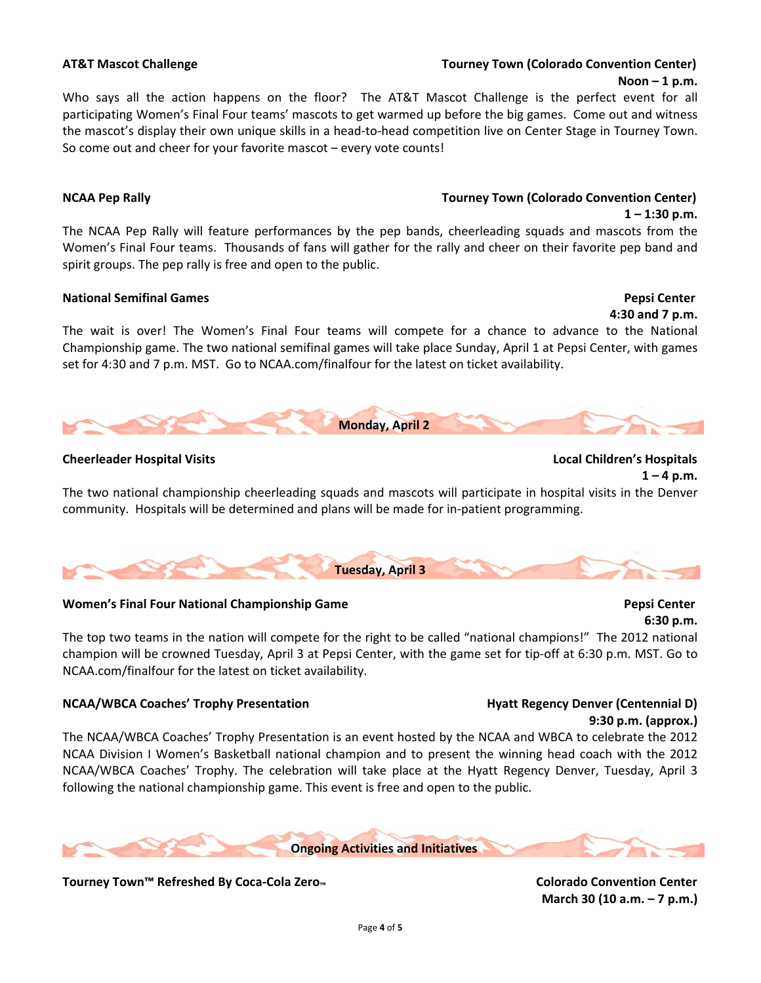### **AT&T Mascot Challenge Tourney Town (Colorado Convention Center) Noon – 1 p.m.**

Who says all the action happens on the floor? The AT&T Mascot Challenge is the perfect event for all participating Women's Final Four teams' mascots to get warmed up before the big games. Come out and witness the mascot's display their own unique skills in a head-to-head competition live on Center Stage in Tourney Town. So come out and cheer for your favorite mascot – every vote counts!

### **NCAA Pep Rally Tourney Town (Colorado Convention Center)**

The NCAA Pep Rally will feature performances by the pep bands, cheerleading squads and mascots from the Women's Final Four teams. Thousands of fans will gather for the rally and cheer on their favorite pep band and spirit groups. The pep rally is free and open to the public.

### **National Semifinal Games Pepsi Center**

**4:30 and 7 p.m.** The wait is over! The Women's Final Four teams will compete for a chance to advance to the National Championship game. The two national semifinal games will take place Sunday, April 1 at Pepsi Center, with games set for 4:30 and 7 p.m. MST. Go to NCAA.com/finalfour for the latest on ticket availability.



### **Cheerleader Hospital Visits Local Children's Hospitals**



**6:30 p.m.**

 **1 – 1:30 p.m.**

The two national championship cheerleading squads and mascots will participate in hospital visits in the Denver community. Hospitals will be determined and plans will be made for in‐patient programming.



### **Women's Final Four National Championship Game Pepsi Center**

The top two teams in the nation will compete for the right to be called "national champions!" The 2012 national champion will be crowned Tuesday, April 3 at Pepsi Center, with the game set for tip-off at 6:30 p.m. MST. Go to NCAA.com/finalfour for the latest on ticket availability.

### **NCAA/WBCA Coaches' Trophy Presentation Hyatt Regency Denver (Centennial D)**

# **9:30 p.m. (approx.)**

The NCAA/WBCA Coaches' Trophy Presentation is an event hosted by the NCAA and WBCA to celebrate the 2012 NCAA Division I Women's Basketball national champion and to present the winning head coach with the 2012 NCAA/WBCA Coaches' Trophy. The celebration will take place at the Hyatt Regency Denver, Tuesday, April 3 following the national championship game. This event is free and open to the public.



Tourney Town™ Refreshed By Coca-Cola Zero<sub>™</sub> and the contention of the Colorado Convention Center

**March 30 (10 a.m. – 7 p.m.)**